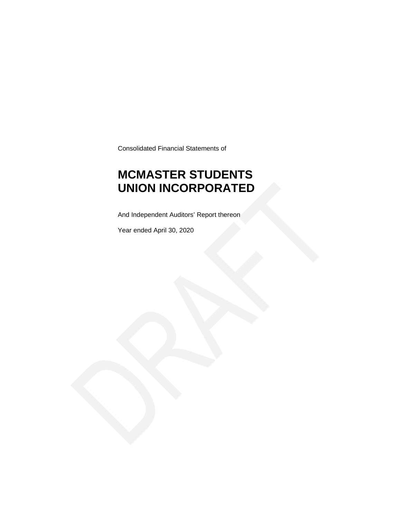Consolidated Financial Statements of

### **MCMASTER STUDENTS UNION INCORPORATED**

And Independent Auditors' Report thereon

Year ended April 30, 2020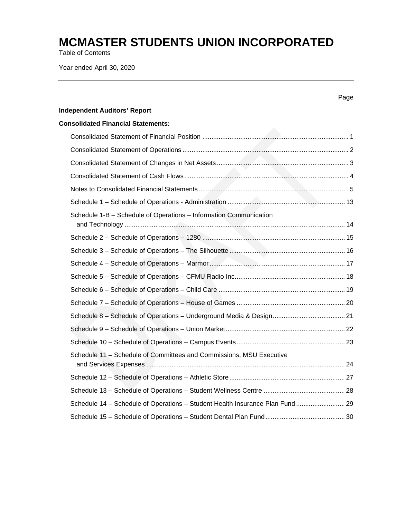Table of Contents

Year ended April 30, 2020

|                                                                               | Page |
|-------------------------------------------------------------------------------|------|
| <b>Independent Auditors' Report</b>                                           |      |
| <b>Consolidated Financial Statements:</b>                                     |      |
|                                                                               |      |
|                                                                               |      |
|                                                                               |      |
|                                                                               |      |
|                                                                               |      |
|                                                                               |      |
| Schedule 1-B - Schedule of Operations - Information Communication             |      |
|                                                                               |      |
|                                                                               |      |
|                                                                               |      |
|                                                                               |      |
|                                                                               |      |
|                                                                               |      |
|                                                                               |      |
|                                                                               |      |
|                                                                               |      |
| Schedule 11 - Schedule of Committees and Commissions, MSU Executive           |      |
|                                                                               |      |
|                                                                               |      |
| Schedule 14 - Schedule of Operations - Student Health Insurance Plan Fund  29 |      |
|                                                                               |      |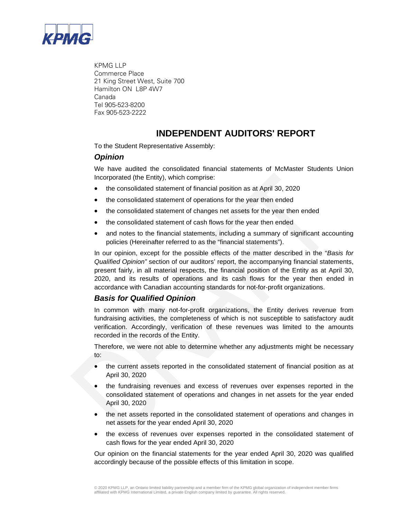

KPMG LLP Commerce Place 21 King Street West, Suite 700 Hamilton ON L8P 4W7 Canada Tel 905-523-8200 Fax 905-523-2222

### **INDEPENDENT AUDITORS' REPORT**

To the Student Representative Assembly:

#### *Opinion*

We have audited the consolidated financial statements of McMaster Students Union Incorporated (the Entity), which comprise:

- the consolidated statement of financial position as at April 30, 2020
- the consolidated statement of operations for the year then ended
- the consolidated statement of changes net assets for the year then ended
- the consolidated statement of cash flows for the year then ended
- and notes to the financial statements, including a summary of significant accounting policies (Hereinafter referred to as the "financial statements").

In our opinion, except for the possible effects of the matter described in the "*Basis for Qualified Opinion"* section of our auditors' report, the accompanying financial statements, present fairly, in all material respects, the financial position of the Entity as at April 30, 2020, and its results of operations and its cash flows for the year then ended in accordance with Canadian accounting standards for not-for-profit organizations.

#### *Basis for Qualified Opinion*

In common with many not-for-profit organizations, the Entity derives revenue from fundraising activities, the completeness of which is not susceptible to satisfactory audit verification. Accordingly, verification of these revenues was limited to the amounts recorded in the records of the Entity.

Therefore, we were not able to determine whether any adjustments might be necessary to:

- the current assets reported in the consolidated statement of financial position as at April 30, 2020
- the fundraising revenues and excess of revenues over expenses reported in the consolidated statement of operations and changes in net assets for the year ended April 30, 2020
- the net assets reported in the consolidated statement of operations and changes in net assets for the year ended April 30, 2020
- the excess of revenues over expenses reported in the consolidated statement of cash flows for the year ended April 30, 2020

Our opinion on the financial statements for the year ended April 30, 2020 was qualified accordingly because of the possible effects of this limitation in scope.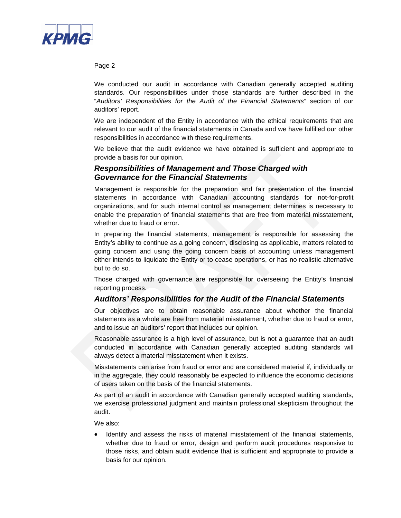

Page 2

We conducted our audit in accordance with Canadian generally accepted auditing standards. Our responsibilities under those standards are further described in the "*Auditors' Responsibilities for the Audit of the Financial Statements*" section of our auditors' report.

We are independent of the Entity in accordance with the ethical requirements that are relevant to our audit of the financial statements in Canada and we have fulfilled our other responsibilities in accordance with these requirements.

We believe that the audit evidence we have obtained is sufficient and appropriate to provide a basis for our opinion.

#### *Responsibilities of Management and Those Charged with Governance for the Financial Statements*

Management is responsible for the preparation and fair presentation of the financial statements in accordance with Canadian accounting standards for not-for-profit organizations, and for such internal control as management determines is necessary to enable the preparation of financial statements that are free from material misstatement, whether due to fraud or error.

In preparing the financial statements, management is responsible for assessing the Entity's ability to continue as a going concern, disclosing as applicable, matters related to going concern and using the going concern basis of accounting unless management either intends to liquidate the Entity or to cease operations, or has no realistic alternative but to do so.

Those charged with governance are responsible for overseeing the Entity's financial reporting process.

#### *Auditors' Responsibilities for the Audit of the Financial Statements*

Our objectives are to obtain reasonable assurance about whether the financial statements as a whole are free from material misstatement, whether due to fraud or error, and to issue an auditors' report that includes our opinion.

Reasonable assurance is a high level of assurance, but is not a guarantee that an audit conducted in accordance with Canadian generally accepted auditing standards will always detect a material misstatement when it exists.

Misstatements can arise from fraud or error and are considered material if, individually or in the aggregate, they could reasonably be expected to influence the economic decisions of users taken on the basis of the financial statements.

As part of an audit in accordance with Canadian generally accepted auditing standards, we exercise professional judgment and maintain professional skepticism throughout the audit.

We also:

• Identify and assess the risks of material misstatement of the financial statements, whether due to fraud or error, design and perform audit procedures responsive to those risks, and obtain audit evidence that is sufficient and appropriate to provide a basis for our opinion.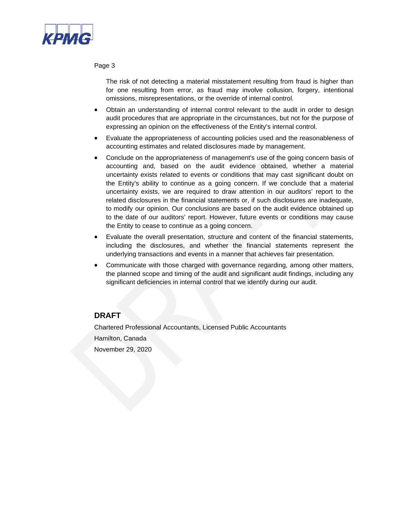

#### Page 3

The risk of not detecting a material misstatement resulting from fraud is higher than for one resulting from error, as fraud may involve collusion, forgery, intentional omissions, misrepresentations, or the override of internal control.

- Obtain an understanding of internal control relevant to the audit in order to design audit procedures that are appropriate in the circumstances, but not for the purpose of expressing an opinion on the effectiveness of the Entity's internal control.
- Evaluate the appropriateness of accounting policies used and the reasonableness of accounting estimates and related disclosures made by management.
- Conclude on the appropriateness of management's use of the going concern basis of accounting and, based on the audit evidence obtained, whether a material uncertainty exists related to events or conditions that may cast significant doubt on the Entity's ability to continue as a going concern. If we conclude that a material uncertainty exists, we are required to draw attention in our auditors' report to the related disclosures in the financial statements or, if such disclosures are inadequate, to modify our opinion. Our conclusions are based on the audit evidence obtained up to the date of our auditors' report. However, future events or conditions may cause the Entity to cease to continue as a going concern.
- Evaluate the overall presentation, structure and content of the financial statements, including the disclosures, and whether the financial statements represent the underlying transactions and events in a manner that achieves fair presentation.
- Communicate with those charged with governance regarding, among other matters, the planned scope and timing of the audit and significant audit findings, including any significant deficiencies in internal control that we identify during our audit.

#### **DRAFT**

Chartered Professional Accountants, Licensed Public Accountants Hamilton, Canada November 29, 2020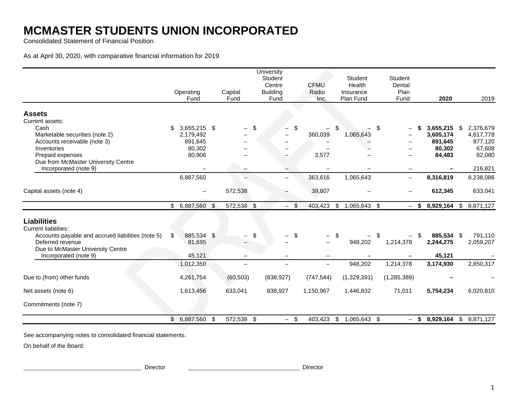Consolidated Statement of Financial Position

As at April 30, 2020, with comparative financial information for 2019

|                                                                                                        | Operating<br>Fund   | Capital<br>Fund          | University<br>Student<br>Centre<br><b>Building</b><br>Fund | <b>CFMU</b><br>Radio<br>Inc. | <b>Student</b><br>Health<br>Insurance<br>Plan Fund | Student<br>Dental<br>Plan<br>Fund |           | 2020       | 2019                   |
|--------------------------------------------------------------------------------------------------------|---------------------|--------------------------|------------------------------------------------------------|------------------------------|----------------------------------------------------|-----------------------------------|-----------|------------|------------------------|
| <b>Assets</b>                                                                                          |                     |                          |                                                            |                              |                                                    |                                   |           |            |                        |
| Current assets:                                                                                        |                     |                          |                                                            |                              |                                                    |                                   |           |            |                        |
| Cash                                                                                                   | 3,655,215 \$<br>\$. | $\qquad \qquad -$        | \$<br>\$                                                   |                              | \$                                                 | \$                                | \$        | 3,655,215  | 2,376,679<br>S.        |
| Marketable securities (note 2)                                                                         | 2,179,492           |                          |                                                            | 360,039                      | 1,065,643                                          |                                   |           | 3,605,174  | 4,617,778              |
| Accounts receivable (note 3)                                                                           | 891,645             |                          |                                                            |                              |                                                    |                                   |           | 891,645    | 877,120                |
| Inventories                                                                                            | 80,302              |                          |                                                            |                              |                                                    |                                   |           | 80,302     | 67,608                 |
| Prepaid expenses                                                                                       | 80,906              |                          | $\overline{\phantom{0}}$                                   | 3,577                        |                                                    |                                   |           | 84,483     | 82,080                 |
| Due from McMaster University Centre<br>Incorporated (note 9)                                           |                     |                          |                                                            |                              |                                                    | $\overline{\phantom{0}}$          |           |            | 216,821                |
|                                                                                                        |                     |                          |                                                            |                              |                                                    |                                   |           |            |                        |
|                                                                                                        | 6,887,560           |                          |                                                            | 363,616                      | 1,065,643                                          |                                   |           | 8,316,819  | 8,238,086              |
| Capital assets (note 4)                                                                                |                     | 572,538                  |                                                            | 39,807                       |                                                    |                                   |           | 612,345    | 633,041                |
|                                                                                                        | \$<br>6,887,560     | \$<br>572,538 \$         | $\sqrt{3}$<br>$-$                                          | 403,423                      | \$<br>1,065,643 \$                                 |                                   | \$<br>$-$ | 8,929,164  | \$8,871,127            |
| <b>Liabilities</b><br><b>Current liabilities:</b><br>Accounts payable and accrued liabilities (note 5) | 885,534 \$<br>\$    |                          | \$<br>\$                                                   |                              | \$                                                 | \$                                | -S        | 885,534 \$ | 791,110                |
| Deferred revenue                                                                                       | 81,695              |                          |                                                            |                              | 948,202                                            | 1,214,378                         |           | 2,244,275  | 2,059,207              |
| Due to McMaster University Centre                                                                      |                     |                          |                                                            |                              |                                                    |                                   |           |            |                        |
| Incorporated (note 9)                                                                                  | 45,121              | $\overline{\phantom{0}}$ |                                                            | $\qquad \qquad -$            |                                                    |                                   |           | 45,121     |                        |
|                                                                                                        | 1,012,350           |                          |                                                            | $\overline{\phantom{0}}$     | 948,202                                            | 1,214,378                         |           | 3,174,930  | 2,850,317              |
| Due to (from) other funds                                                                              | 4,261,754           | (60, 503)                | (838, 927)                                                 | (747, 544)                   | (1,329,391)                                        | (1,285,389)                       |           |            |                        |
| Net assets (note 6)                                                                                    | 1,613,456           | 633,041                  | 838,927                                                    | 1,150,967                    | 1,446,832                                          | 71,011                            |           | 5,754,234  | 6,020,810              |
| Commitments (note 7)                                                                                   |                     |                          |                                                            |                              |                                                    |                                   |           |            |                        |
|                                                                                                        | \$<br>6,887,560 \$  | 572,538 \$               | $-$ \$                                                     |                              | 403,423 \$ 1,065,643 \$                            |                                   | \$<br>$-$ |            | 8,929,164 \$ 8,871,127 |

See accompanying notes to consolidated financial statements.

On behalf of the Board:

Director Director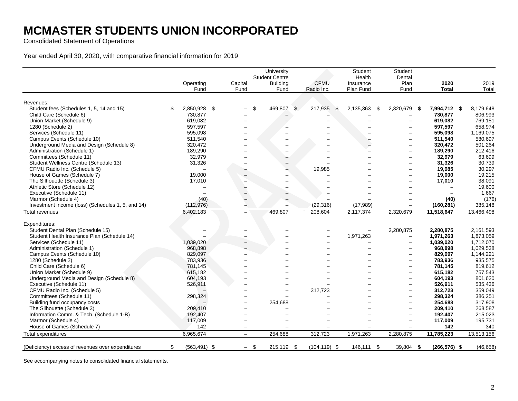Consolidated Statement of Operations

Year ended April 30, 2020, with comparative financial information for 2019

| Student Centre<br>CFMU<br>Capital<br><b>Building</b><br>Operating<br>Fund<br>Fund<br>Radio Inc.<br>Fund<br>Revenues:<br>$\mathfrak{L}$<br>Student fees (Schedules 1, 5, 14 and 15)<br>2,850,928 \$<br>\$<br>469,807<br>217,935<br>-\$<br>\$<br>Child Care (Schedule 6)<br>730,877<br>619.082<br>Union Market (Schedule 9)<br>597,597<br>1280 (Schedule 2)<br>Services (Schedule 11)<br>595,098<br>Campus Events (Schedule 10)<br>511,540<br>Underground Media and Design (Schedule 8)<br>320,472<br>189,290<br>Administration (Schedule 1)<br>Committees (Schedule 11)<br>32,979<br>Student Wellness Centre (Schedule 13)<br>31,326<br>CFMU Radio Inc. (Schedule 5)<br>19,985<br>House of Games (Schedule 7)<br>19,000<br>The Silhouette (Schedule 3)<br>17,010<br>Athletic Store (Schedule 12)<br>Executive (Schedule 11)<br>Marmor (Schedule 4)<br>(40) | Health<br>Insurance<br>Plan Fund<br>2,135,363<br>-\$ | Dental<br>Plan<br>Fund<br>2,320,679<br>- \$ | 2020<br><b>Total</b> | 2019<br>Total |
|-----------------------------------------------------------------------------------------------------------------------------------------------------------------------------------------------------------------------------------------------------------------------------------------------------------------------------------------------------------------------------------------------------------------------------------------------------------------------------------------------------------------------------------------------------------------------------------------------------------------------------------------------------------------------------------------------------------------------------------------------------------------------------------------------------------------------------------------------------------|------------------------------------------------------|---------------------------------------------|----------------------|---------------|
|                                                                                                                                                                                                                                                                                                                                                                                                                                                                                                                                                                                                                                                                                                                                                                                                                                                           |                                                      |                                             |                      |               |
|                                                                                                                                                                                                                                                                                                                                                                                                                                                                                                                                                                                                                                                                                                                                                                                                                                                           |                                                      |                                             |                      |               |
|                                                                                                                                                                                                                                                                                                                                                                                                                                                                                                                                                                                                                                                                                                                                                                                                                                                           |                                                      |                                             |                      |               |
|                                                                                                                                                                                                                                                                                                                                                                                                                                                                                                                                                                                                                                                                                                                                                                                                                                                           |                                                      |                                             |                      |               |
|                                                                                                                                                                                                                                                                                                                                                                                                                                                                                                                                                                                                                                                                                                                                                                                                                                                           |                                                      |                                             | 7,994,712 \$         | 8,179,648     |
|                                                                                                                                                                                                                                                                                                                                                                                                                                                                                                                                                                                                                                                                                                                                                                                                                                                           |                                                      |                                             | 730,877              | 806,993       |
|                                                                                                                                                                                                                                                                                                                                                                                                                                                                                                                                                                                                                                                                                                                                                                                                                                                           |                                                      |                                             | 619.082              | 769,151       |
|                                                                                                                                                                                                                                                                                                                                                                                                                                                                                                                                                                                                                                                                                                                                                                                                                                                           |                                                      |                                             | 597,597              | 658,974       |
|                                                                                                                                                                                                                                                                                                                                                                                                                                                                                                                                                                                                                                                                                                                                                                                                                                                           |                                                      |                                             | 595,098              | 1,169,075     |
|                                                                                                                                                                                                                                                                                                                                                                                                                                                                                                                                                                                                                                                                                                                                                                                                                                                           |                                                      | $\overline{\phantom{0}}$                    | 511,540              | 580,697       |
|                                                                                                                                                                                                                                                                                                                                                                                                                                                                                                                                                                                                                                                                                                                                                                                                                                                           |                                                      |                                             | 320,472              | 501,264       |
|                                                                                                                                                                                                                                                                                                                                                                                                                                                                                                                                                                                                                                                                                                                                                                                                                                                           |                                                      | -                                           | 189,290              | 212,416       |
|                                                                                                                                                                                                                                                                                                                                                                                                                                                                                                                                                                                                                                                                                                                                                                                                                                                           |                                                      |                                             | 32,979               | 63,699        |
|                                                                                                                                                                                                                                                                                                                                                                                                                                                                                                                                                                                                                                                                                                                                                                                                                                                           |                                                      | $\overline{\phantom{0}}$                    | 31,326               | 30,739        |
|                                                                                                                                                                                                                                                                                                                                                                                                                                                                                                                                                                                                                                                                                                                                                                                                                                                           |                                                      |                                             | 19,985               | 30,297        |
|                                                                                                                                                                                                                                                                                                                                                                                                                                                                                                                                                                                                                                                                                                                                                                                                                                                           |                                                      |                                             | 19,000               | 19,215        |
|                                                                                                                                                                                                                                                                                                                                                                                                                                                                                                                                                                                                                                                                                                                                                                                                                                                           |                                                      |                                             | 17,010               | 38,091        |
|                                                                                                                                                                                                                                                                                                                                                                                                                                                                                                                                                                                                                                                                                                                                                                                                                                                           |                                                      |                                             |                      | 19,600        |
|                                                                                                                                                                                                                                                                                                                                                                                                                                                                                                                                                                                                                                                                                                                                                                                                                                                           |                                                      |                                             |                      | 1,667         |
|                                                                                                                                                                                                                                                                                                                                                                                                                                                                                                                                                                                                                                                                                                                                                                                                                                                           |                                                      |                                             | (40)                 | (176)         |
| (112, 976)<br>Investment income (loss) (Schedules 1, 5, and 14)<br>(29, 316)                                                                                                                                                                                                                                                                                                                                                                                                                                                                                                                                                                                                                                                                                                                                                                              | (17, 989)                                            |                                             | (160, 281)           | 385,148       |
| 6,402,183<br>469,807<br>208,604<br><b>Total revenues</b><br>$\overline{\phantom{0}}$                                                                                                                                                                                                                                                                                                                                                                                                                                                                                                                                                                                                                                                                                                                                                                      | 2,117,374                                            | 2,320,679                                   | 11,518,647           | 13,466,498    |
| Expenditures:                                                                                                                                                                                                                                                                                                                                                                                                                                                                                                                                                                                                                                                                                                                                                                                                                                             |                                                      |                                             |                      |               |
| Student Dental Plan (Schedule 15)                                                                                                                                                                                                                                                                                                                                                                                                                                                                                                                                                                                                                                                                                                                                                                                                                         |                                                      | 2,280,875                                   | 2,280,875            | 2,161,593     |
| Student Health Insurance Plan (Schedule 14)                                                                                                                                                                                                                                                                                                                                                                                                                                                                                                                                                                                                                                                                                                                                                                                                               | 1,971,263                                            |                                             | 1,971,263            | 1,873,059     |
| Services (Schedule 11)<br>1,039,020                                                                                                                                                                                                                                                                                                                                                                                                                                                                                                                                                                                                                                                                                                                                                                                                                       |                                                      | $\overline{\phantom{0}}$                    | 1,039,020            | 1,712,070     |
| 968,898<br>Administration (Schedule 1)                                                                                                                                                                                                                                                                                                                                                                                                                                                                                                                                                                                                                                                                                                                                                                                                                    |                                                      |                                             | 968,898              | 1,029,538     |
| Campus Events (Schedule 10)<br>829,097                                                                                                                                                                                                                                                                                                                                                                                                                                                                                                                                                                                                                                                                                                                                                                                                                    |                                                      |                                             | 829,097              | 1,144,221     |
| 1280 (Schedule 2)<br>783,936                                                                                                                                                                                                                                                                                                                                                                                                                                                                                                                                                                                                                                                                                                                                                                                                                              |                                                      | $\overline{\phantom{0}}$                    | 783,936              | 935,575       |
| Child Care (Schedule 6)<br>781,145                                                                                                                                                                                                                                                                                                                                                                                                                                                                                                                                                                                                                                                                                                                                                                                                                        |                                                      | $\overline{\phantom{0}}$                    | 781,145              | 819,612       |
| Union Market (Schedule 9)<br>615,182                                                                                                                                                                                                                                                                                                                                                                                                                                                                                                                                                                                                                                                                                                                                                                                                                      |                                                      | $\overline{\phantom{0}}$                    | 615,182              | 757,543       |
| Underground Media and Design (Schedule 8)<br>604,193                                                                                                                                                                                                                                                                                                                                                                                                                                                                                                                                                                                                                                                                                                                                                                                                      |                                                      |                                             | 604,193              | 801,620       |
| Executive (Schedule 11)<br>526,911                                                                                                                                                                                                                                                                                                                                                                                                                                                                                                                                                                                                                                                                                                                                                                                                                        |                                                      | $\overline{\phantom{0}}$                    | 526,911              | 535,436       |
| CFMU Radio Inc. (Schedule 5)<br>312,723                                                                                                                                                                                                                                                                                                                                                                                                                                                                                                                                                                                                                                                                                                                                                                                                                   |                                                      |                                             | 312,723              | 359,049       |
| Committees (Schedule 11)<br>298,324                                                                                                                                                                                                                                                                                                                                                                                                                                                                                                                                                                                                                                                                                                                                                                                                                       |                                                      |                                             | 298.324              | 386,251       |
| Building fund occupancy costs<br>254,688                                                                                                                                                                                                                                                                                                                                                                                                                                                                                                                                                                                                                                                                                                                                                                                                                  |                                                      | $\overline{\phantom{0}}$                    | 254,688              | 317,908       |
| The Silhouette (Schedule 3)<br>209,410                                                                                                                                                                                                                                                                                                                                                                                                                                                                                                                                                                                                                                                                                                                                                                                                                    |                                                      |                                             | 209,410              | 268,587       |
| Information Comm. & Tech. (Schedule 1-B)<br>192,407                                                                                                                                                                                                                                                                                                                                                                                                                                                                                                                                                                                                                                                                                                                                                                                                       |                                                      | $\overline{\phantom{0}}$                    | 192,407              | 215,023       |
| Marmor (Schedule 4)<br>117,009                                                                                                                                                                                                                                                                                                                                                                                                                                                                                                                                                                                                                                                                                                                                                                                                                            |                                                      | ÷                                           | 117,009              | 195,731       |
| House of Games (Schedule 7)<br>142                                                                                                                                                                                                                                                                                                                                                                                                                                                                                                                                                                                                                                                                                                                                                                                                                        |                                                      |                                             | 142                  | 340           |
| <b>Total expenditures</b>                                                                                                                                                                                                                                                                                                                                                                                                                                                                                                                                                                                                                                                                                                                                                                                                                                 |                                                      |                                             |                      |               |
| 6,965,674<br>312,723<br>254,688<br>$\equiv$                                                                                                                                                                                                                                                                                                                                                                                                                                                                                                                                                                                                                                                                                                                                                                                                               | 1,971,263                                            | 2,280,875                                   | 11,785,223           | 13,513,156    |
| $(563, 491)$ \$<br>\$<br>215,119 \$<br>$(104, 119)$ \$<br>(Deficiency) excess of revenues over expenditures<br>\$<br>$\overline{\phantom{0}}$                                                                                                                                                                                                                                                                                                                                                                                                                                                                                                                                                                                                                                                                                                             | 146,111 \$                                           | 39,804 \$                                   | $(266, 576)$ \$      | (46, 658)     |

See accompanying notes to consolidated financial statements.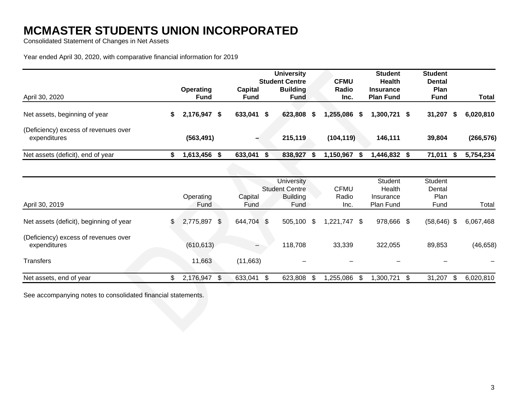Consolidated Statement of Changes in Net Assets

Year ended April 30, 2020, with comparative financial information for 2019

|                                                      |   |                          |  |                        |  | <b>University</b><br><b>Student Centre</b> |    | <b>CFMU</b>    | <b>Student</b><br><b>Health</b>      | <b>Student</b><br><b>Dental</b> |        |            |
|------------------------------------------------------|---|--------------------------|--|------------------------|--|--------------------------------------------|----|----------------|--------------------------------------|---------------------------------|--------|------------|
| April 30, 2020                                       |   | Operating<br><b>Fund</b> |  | Capital<br><b>Fund</b> |  | <b>Building</b><br><b>Fund</b>             |    | Radio<br>Inc.  | <b>Insurance</b><br><b>Plan Fund</b> | <b>Plan</b><br><b>Fund</b>      |        | Total      |
| Net assets, beginning of year                        | S | 2,176,947 \$             |  | 633,041 \$             |  | 623,808                                    | S. | 1,255,086<br>S | 1,300,721 \$                         |                                 | 31,207 | 6,020,810  |
| (Deficiency) excess of revenues over<br>expenditures |   | (563, 491)               |  |                        |  | 215,119                                    |    | (104, 119)     | 146,111                              |                                 | 39,804 | (266, 576) |
| Net assets (deficit), end of year                    |   | 1,613,456                |  | 633,041                |  | 838,927                                    |    | 1,150,967      | 446,832 \$                           |                                 | 71,011 | 5,754,234  |

|                                                      | Operating       |    | Capital       | <b>University</b><br><b>Student Centre</b><br><b>Building</b> | <b>CFMU</b><br>Radio |    | Student<br>Health<br>Insurance |      | Student<br>Dental<br>Plan |           |
|------------------------------------------------------|-----------------|----|---------------|---------------------------------------------------------------|----------------------|----|--------------------------------|------|---------------------------|-----------|
| April 30, 2019                                       | Fund            |    | Fund.         | Fund                                                          | Inc.                 |    | Plan Fund                      |      | Fund                      | Total     |
| Net assets (deficit), beginning of year              | \$<br>2,775,897 | S. | 644,704 \$    | $505,100$ \$                                                  | $1,221,747$ \$       |    | 978,666 \$                     |      | $(58, 646)$ \$            | 6,067,468 |
| (Deficiency) excess of revenues over<br>expenditures | (610, 613)      |    | $-$           | 118,708                                                       | 33,339               |    | 322,055                        |      | 89,853                    | (46, 658) |
| <b>Transfers</b>                                     | 11,663          |    | (11,663)      | $\overline{\phantom{0}}$                                      |                      |    |                                |      |                           |           |
| Net assets, end of year                              | 2,176,947       | \$ | 633,041<br>\$ | 623,808                                                       | 1,255,086            | £. | ,300,721                       | - \$ | 31,207                    | 6,020,810 |

See accompanying notes to consolidated financial statements.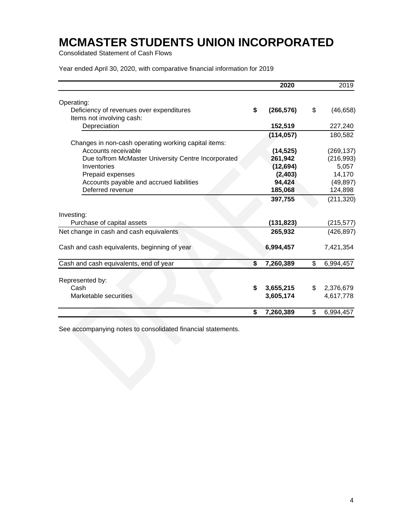Consolidated Statement of Cash Flows

Year ended April 30, 2020, with comparative financial information for 2019

|                                                      | 2020             | 2019            |
|------------------------------------------------------|------------------|-----------------|
| Operating:                                           |                  |                 |
| Deficiency of revenues over expenditures             | \$<br>(266, 576) | \$<br>(46, 658) |
| Items not involving cash:                            |                  |                 |
| Depreciation                                         | 152,519          | 227,240         |
|                                                      | (114, 057)       | 180,582         |
| Changes in non-cash operating working capital items: |                  |                 |
| Accounts receivable                                  | (14, 525)        | (269, 137)      |
| Due to/from McMaster University Centre Incorporated  | 261,942          | (216, 993)      |
| Inventories                                          | (12, 694)        | 5,057           |
| Prepaid expenses                                     | (2, 403)         | 14,170          |
| Accounts payable and accrued liabilities             | 94,424           | (49, 897)       |
| Deferred revenue                                     | 185,068          | 124,898         |
|                                                      | 397,755          | (211, 320)      |
| Investing:                                           |                  |                 |
| Purchase of capital assets                           | (131,823)        | (215, 577)      |
| Net change in cash and cash equivalents              | 265,932          | (426, 897)      |
| Cash and cash equivalents, beginning of year         | 6,994,457        | 7,421,354       |
| Cash and cash equivalents, end of year               | \$<br>7,260,389  | \$<br>6,994,457 |
|                                                      |                  |                 |
| Represented by:                                      |                  |                 |
| Cash                                                 | \$<br>3,655,215  | \$<br>2,376,679 |
| Marketable securities                                | 3,605,174        | 4,617,778       |
|                                                      | \$<br>7,260,389  | \$<br>6,994,457 |

See accompanying notes to consolidated financial statements.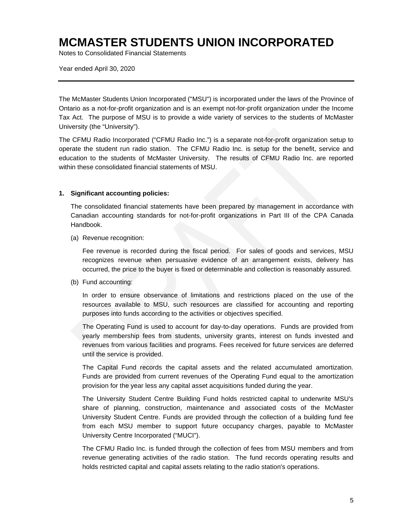Notes to Consolidated Financial Statements

Year ended April 30, 2020

The McMaster Students Union Incorporated ("MSU") is incorporated under the laws of the Province of Ontario as a not-for-profit organization and is an exempt not-for-profit organization under the Income Tax Act. The purpose of MSU is to provide a wide variety of services to the students of McMaster University (the "University").

The CFMU Radio Incorporated ("CFMU Radio Inc.") is a separate not-for-profit organization setup to operate the student run radio station. The CFMU Radio Inc. is setup for the benefit, service and education to the students of McMaster University. The results of CFMU Radio Inc. are reported within these consolidated financial statements of MSU.

#### **1. Significant accounting policies:**

The consolidated financial statements have been prepared by management in accordance with Canadian accounting standards for not-for-profit organizations in Part III of the CPA Canada Handbook.

(a) Revenue recognition:

Fee revenue is recorded during the fiscal period. For sales of goods and services, MSU recognizes revenue when persuasive evidence of an arrangement exists, delivery has occurred, the price to the buyer is fixed or determinable and collection is reasonably assured.

(b) Fund accounting:

In order to ensure observance of limitations and restrictions placed on the use of the resources available to MSU, such resources are classified for accounting and reporting purposes into funds according to the activities or objectives specified.

The Operating Fund is used to account for day-to-day operations. Funds are provided from yearly membership fees from students, university grants, interest on funds invested and revenues from various facilities and programs. Fees received for future services are deferred until the service is provided.

The Capital Fund records the capital assets and the related accumulated amortization. Funds are provided from current revenues of the Operating Fund equal to the amortization provision for the year less any capital asset acquisitions funded during the year.

The University Student Centre Building Fund holds restricted capital to underwrite MSU's share of planning, construction, maintenance and associated costs of the McMaster University Student Centre. Funds are provided through the collection of a building fund fee from each MSU member to support future occupancy charges, payable to McMaster University Centre Incorporated ("MUCI").

The CFMU Radio Inc. is funded through the collection of fees from MSU members and from revenue generating activities of the radio station. The fund records operating results and holds restricted capital and capital assets relating to the radio station's operations.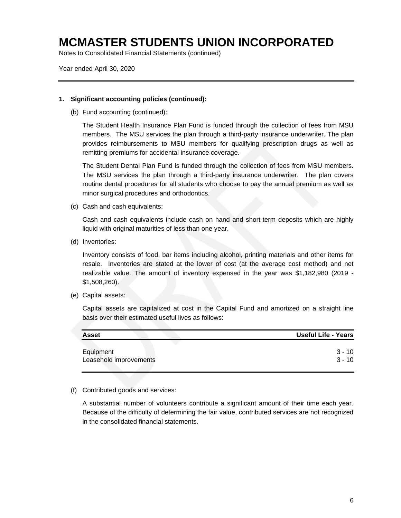Notes to Consolidated Financial Statements (continued)

Year ended April 30, 2020

#### **1. Significant accounting policies (continued):**

(b) Fund accounting (continued):

The Student Health Insurance Plan Fund is funded through the collection of fees from MSU members. The MSU services the plan through a third-party insurance underwriter. The plan provides reimbursements to MSU members for qualifying prescription drugs as well as remitting premiums for accidental insurance coverage.

The Student Dental Plan Fund is funded through the collection of fees from MSU members. The MSU services the plan through a third-party insurance underwriter. The plan covers routine dental procedures for all students who choose to pay the annual premium as well as minor surgical procedures and orthodontics.

(c) Cash and cash equivalents:

Cash and cash equivalents include cash on hand and short-term deposits which are highly liquid with original maturities of less than one year.

(d) Inventories:

Inventory consists of food, bar items including alcohol, printing materials and other items for resale. Inventories are stated at the lower of cost (at the average cost method) and net realizable value. The amount of inventory expensed in the year was \$1,182,980 (2019 - \$1,508,260).

(e) Capital assets:

Capital assets are capitalized at cost in the Capital Fund and amortized on a straight line basis over their estimated useful lives as follows:

| <b>Asset</b>           | Useful Life - Years |
|------------------------|---------------------|
| Equipment              | 3 - 10              |
| Leasehold improvements | $3 - 10$            |

#### (f) Contributed goods and services:

A substantial number of volunteers contribute a significant amount of their time each year. Because of the difficulty of determining the fair value, contributed services are not recognized in the consolidated financial statements.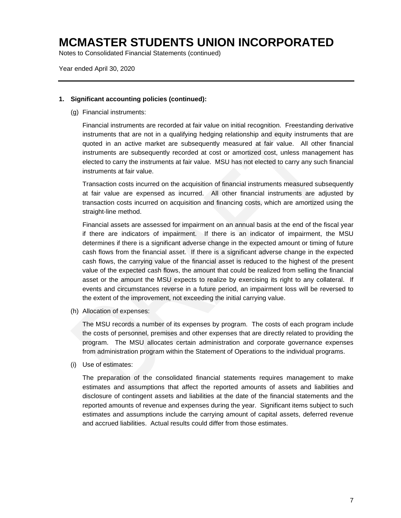Notes to Consolidated Financial Statements (continued)

Year ended April 30, 2020

#### **1. Significant accounting policies (continued):**

(g) Financial instruments:

Financial instruments are recorded at fair value on initial recognition. Freestanding derivative instruments that are not in a qualifying hedging relationship and equity instruments that are quoted in an active market are subsequently measured at fair value. All other financial instruments are subsequently recorded at cost or amortized cost, unless management has elected to carry the instruments at fair value. MSU has not elected to carry any such financial instruments at fair value.

Transaction costs incurred on the acquisition of financial instruments measured subsequently at fair value are expensed as incurred. All other financial instruments are adjusted by transaction costs incurred on acquisition and financing costs, which are amortized using the straight-line method.

Financial assets are assessed for impairment on an annual basis at the end of the fiscal year if there are indicators of impairment. If there is an indicator of impairment, the MSU determines if there is a significant adverse change in the expected amount or timing of future cash flows from the financial asset. If there is a significant adverse change in the expected cash flows, the carrying value of the financial asset is reduced to the highest of the present value of the expected cash flows, the amount that could be realized from selling the financial asset or the amount the MSU expects to realize by exercising its right to any collateral. If events and circumstances reverse in a future period, an impairment loss will be reversed to the extent of the improvement, not exceeding the initial carrying value.

(h) Allocation of expenses:

The MSU records a number of its expenses by program. The costs of each program include the costs of personnel, premises and other expenses that are directly related to providing the program. The MSU allocates certain administration and corporate governance expenses from administration program within the Statement of Operations to the individual programs.

(i) Use of estimates:

The preparation of the consolidated financial statements requires management to make estimates and assumptions that affect the reported amounts of assets and liabilities and disclosure of contingent assets and liabilities at the date of the financial statements and the reported amounts of revenue and expenses during the year. Significant items subject to such estimates and assumptions include the carrying amount of capital assets, deferred revenue and accrued liabilities. Actual results could differ from those estimates.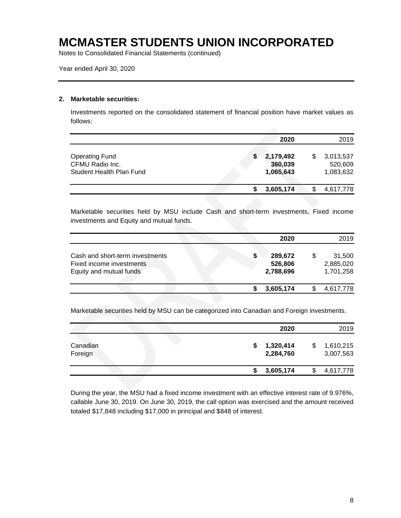Notes to Consolidated Financial Statements (continued)

Year ended April 30, 2020

#### **2. Marketable securities:**

Investments reported on the consolidated statement of financial position have market values as follows:

|                                                                      |  | 2020                              |   | 2019                              |
|----------------------------------------------------------------------|--|-----------------------------------|---|-----------------------------------|
| <b>Operating Fund</b><br>CFMU Radio Inc.<br>Student Health Plan Fund |  | 2,179,492<br>360,039<br>1,065,643 | S | 3,013,537<br>520,609<br>1,083,632 |
|                                                                      |  | 3,605,174                         |   | 4,617,778                         |

Marketable securities held by MSU include Cash and short-term investments, Fixed income investments and Equity and mutual funds.

|                                                                                        |   | 2020                            |   | 2019                             |
|----------------------------------------------------------------------------------------|---|---------------------------------|---|----------------------------------|
| Cash and short-term investments<br>Fixed income investments<br>Equity and mutual funds | S | 289,672<br>526,806<br>2,788,696 | S | 31,500<br>2,885,020<br>1,701,258 |
|                                                                                        |   | 3,605,174                       |   | 4,617,778                        |

Marketable securities held by MSU can be categorized into Canadian and Foreign investments.

|                     |  |   | 2020                   | 2019                   |
|---------------------|--|---|------------------------|------------------------|
| Canadian<br>Foreign |  | S | 1,320,414<br>2,284,760 | 1,610,215<br>3,007,563 |
|                     |  |   | 3,605,174              | 4,617,778              |

During the year, the MSU had a fixed income investment with an effective interest rate of 9.976%, callable June 30, 2019. On June 30, 2019, the call option was exercised and the amount received totaled \$17,848 including \$17,000 in principal and \$848 of interest.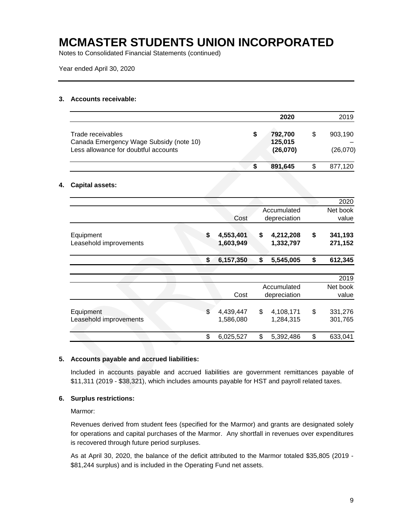Notes to Consolidated Financial Statements (continued)

Year ended April 30, 2020

#### **3. Accounts receivable:**

|                                                                                                      |   | 2020                           |   | 2019                |
|------------------------------------------------------------------------------------------------------|---|--------------------------------|---|---------------------|
| Trade receivables<br>Canada Emergency Wage Subsidy (note 10)<br>Less allowance for doubtful accounts | S | 792,700<br>125,015<br>(26,070) | S | 903,190<br>(26,070) |
|                                                                                                      | S | 891,645                        |   | 877,120             |

#### **4. Capital assets:**

|                              |                              | 2020                     |
|------------------------------|------------------------------|--------------------------|
| Cost                         | Accumulated<br>depreciation  | Net book<br>value        |
| \$<br>4,553,401<br>1,603,949 | \$<br>4,212,208<br>1,332,797 | \$<br>341,193<br>271,152 |
| \$<br>6,157,350              | \$<br>5,545,005              | \$<br>612,345            |
|                              |                              | 2019                     |
| Cost                         | Accumulated<br>depreciation  | Net book<br>value        |
| \$<br>4,439,447<br>1,586,080 | \$<br>4,108,171<br>1,284,315 | \$<br>331,276<br>301,765 |
| \$<br>6,025,527              | \$<br>5,392,486              | \$<br>633,041            |
|                              |                              |                          |

#### **5. Accounts payable and accrued liabilities:**

Included in accounts payable and accrued liabilities are government remittances payable of \$11,311 (2019 - \$38,321), which includes amounts payable for HST and payroll related taxes.

#### **6. Surplus restrictions:**

Marmor:

Revenues derived from student fees (specified for the Marmor) and grants are designated solely for operations and capital purchases of the Marmor. Any shortfall in revenues over expenditures is recovered through future period surpluses.

As at April 30, 2020, the balance of the deficit attributed to the Marmor totaled \$35,805 (2019 - \$81,244 surplus) and is included in the Operating Fund net assets.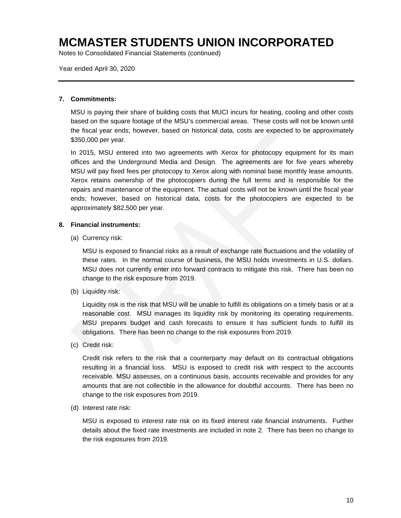Notes to Consolidated Financial Statements (continued)

Year ended April 30, 2020

#### **7. Commitments:**

MSU is paying their share of building costs that MUCI incurs for heating, cooling and other costs based on the square footage of the MSU's commercial areas. These costs will not be known until the fiscal year ends; however, based on historical data, costs are expected to be approximately \$350,000 per year.

In 2015, MSU entered into two agreements with Xerox for photocopy equipment for its main offices and the Underground Media and Design. The agreements are for five years whereby MSU will pay fixed fees per photocopy to Xerox along with nominal base monthly lease amounts. Xerox retains ownership of the photocopiers during the full terms and is responsible for the repairs and maintenance of the equipment. The actual costs will not be known until the fiscal year ends; however, based on historical data, costs for the photocopiers are expected to be approximately \$82,500 per year.

#### **8. Financial instruments:**

(a) Currency risk:

MSU is exposed to financial risks as a result of exchange rate fluctuations and the volatility of these rates. In the normal course of business, the MSU holds investments in U.S. dollars. MSU does not currently enter into forward contracts to mitigate this risk. There has been no change to the risk exposure from 2019.

(b) Liquidity risk:

Liquidity risk is the risk that MSU will be unable to fulfill its obligations on a timely basis or at a reasonable cost. MSU manages its liquidity risk by monitoring its operating requirements. MSU prepares budget and cash forecasts to ensure it has sufficient funds to fulfill its obligations. There has been no change to the risk exposures from 2019.

(c) Credit risk:

Credit risk refers to the risk that a counterparty may default on its contractual obligations resulting in a financial loss. MSU is exposed to credit risk with respect to the accounts receivable. MSU assesses, on a continuous basis, accounts receivable and provides for any amounts that are not collectible in the allowance for doubtful accounts. There has been no change to the risk exposures from 2019.

(d) Interest rate risk:

MSU is exposed to interest rate risk on its fixed interest rate financial instruments. Further details about the fixed rate investments are included in note 2. There has been no change to the risk exposures from 2019.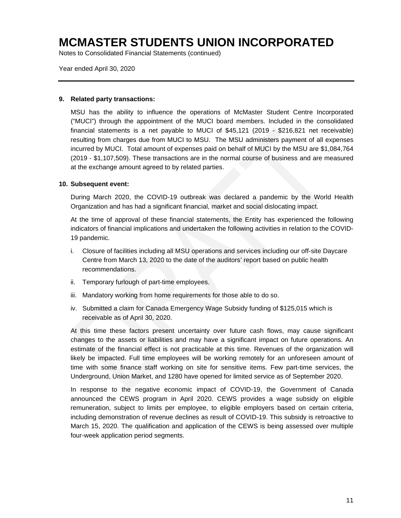Notes to Consolidated Financial Statements (continued)

Year ended April 30, 2020

#### **9. Related party transactions:**

MSU has the ability to influence the operations of McMaster Student Centre Incorporated ("MUCI") through the appointment of the MUCI board members. Included in the consolidated financial statements is a net payable to MUCI of \$45,121 (2019 - \$216,821 net receivable) resulting from charges due from MUCI to MSU. The MSU administers payment of all expenses incurred by MUCI. Total amount of expenses paid on behalf of MUCI by the MSU are \$1,084,764 (2019 - \$1,107,509). These transactions are in the normal course of business and are measured at the exchange amount agreed to by related parties.

#### **10. Subsequent event:**

During March 2020, the COVID-19 outbreak was declared a pandemic by the World Health Organization and has had a significant financial, market and social dislocating impact.

At the time of approval of these financial statements, the Entity has experienced the following indicators of financial implications and undertaken the following activities in relation to the COVID-19 pandemic.

- i. Closure of facilities including all MSU operations and services including our off-site Daycare Centre from March 13, 2020 to the date of the auditors' report based on public health recommendations.
- ii. Temporary furlough of part-time employees.
- iii. Mandatory working from home requirements for those able to do so.
- iv. Submitted a claim for Canada Emergency Wage Subsidy funding of \$125,015 which is receivable as of April 30, 2020.

At this time these factors present uncertainty over future cash flows, may cause significant changes to the assets or liabilities and may have a significant impact on future operations. An estimate of the financial effect is not practicable at this time. Revenues of the organization will likely be impacted. Full time employees will be working remotely for an unforeseen amount of time with some finance staff working on site for sensitive items. Few part-time services, the Underground, Union Market, and 1280 have opened for limited service as of September 2020.

In response to the negative economic impact of COVID-19, the Government of Canada announced the CEWS program in April 2020. CEWS provides a wage subsidy on eligible remuneration, subject to limits per employee, to eligible employers based on certain criteria, including demonstration of revenue declines as result of COVID-19. This subsidy is retroactive to March 15, 2020. The qualification and application of the CEWS is being assessed over multiple four-week application period segments.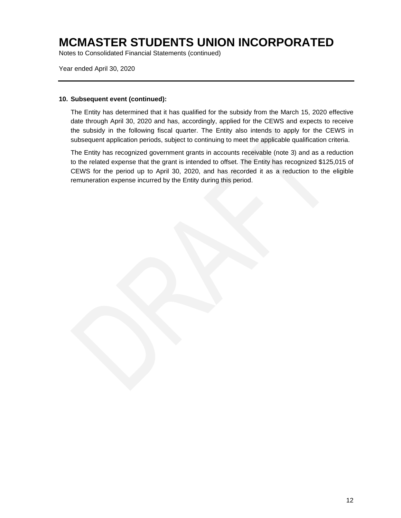Notes to Consolidated Financial Statements (continued)

Year ended April 30, 2020

#### **10. Subsequent event (continued):**

The Entity has determined that it has qualified for the subsidy from the March 15, 2020 effective date through April 30, 2020 and has, accordingly, applied for the CEWS and expects to receive the subsidy in the following fiscal quarter. The Entity also intends to apply for the CEWS in subsequent application periods, subject to continuing to meet the applicable qualification criteria.

The Entity has recognized government grants in accounts receivable (note 3) and as a reduction to the related expense that the grant is intended to offset. The Entity has recognized \$125,015 of CEWS for the period up to April 30, 2020, and has recorded it as a reduction to the eligible remuneration expense incurred by the Entity during this period.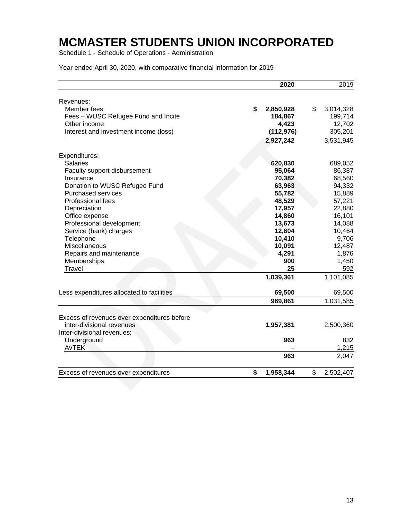Schedule 1 - Schedule of Operations - Administration

|                                             | 2020            | 2019            |
|---------------------------------------------|-----------------|-----------------|
| Revenues:                                   |                 |                 |
| Member fees                                 | \$<br>2,850,928 | \$<br>3,014,328 |
| Fees - WUSC Refugee Fund and Incite         | 184,867         | 199,714         |
| Other income                                | 4,423           | 12,702          |
| Interest and investment income (loss)       | (112, 976)      | 305,201         |
|                                             | 2,927,242       | 3,531,945       |
| Expenditures:                               |                 |                 |
| <b>Salaries</b>                             | 620,830         | 689,052         |
| Faculty support disbursement                | 95,064          | 86,387          |
| Insurance                                   | 70,382          | 68,560          |
| Donation to WUSC Refugee Fund               | 63,963          | 94,332          |
| <b>Purchased services</b>                   | 55,782          | 15,889          |
| Professional fees                           | 48,529          | 57,221          |
| Depreciation                                | 17,957          | 22,880          |
| Office expense                              | 14,860          | 16,101          |
| Professional development                    | 13,673          | 14,088          |
| Service (bank) charges                      | 12,604          | 10,464          |
| Telephone                                   | 10,410          | 9,706           |
| Miscellaneous                               | 10,091          | 12,487          |
| Repairs and maintenance                     | 4,291           | 1,876           |
| Memberships                                 | 900             | 1,450           |
| Travel                                      | 25              | 592             |
|                                             | 1,039,361       | 1,101,085       |
| Less expenditures allocated to facilities   | 69,500          | 69,500          |
|                                             | 969,861         | 1,031,585       |
|                                             |                 |                 |
| Excess of revenues over expenditures before |                 |                 |
| inter-divisional revenues                   | 1,957,381       | 2,500,360       |
| Inter-divisional revenues:                  |                 |                 |
| Underground                                 | 963             | 832             |
| <b>AvTEK</b>                                |                 | 1,215           |
|                                             | 963             | 2,047           |
| Excess of revenues over expenditures        | \$<br>1,958,344 | \$<br>2,502,407 |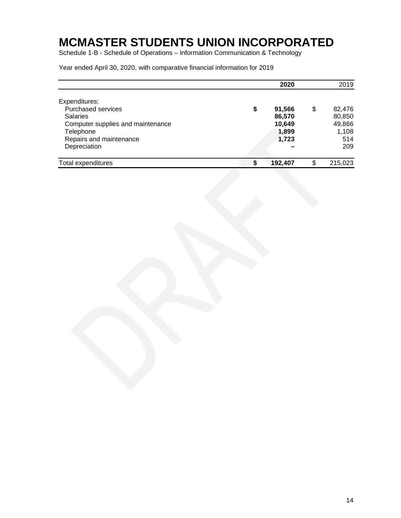Schedule 1-B - Schedule of Operations – Information Communication & Technology

|                                                                                                                                                            |    | 2020                                         | 2019                                                    |
|------------------------------------------------------------------------------------------------------------------------------------------------------------|----|----------------------------------------------|---------------------------------------------------------|
| Expenditures:<br><b>Purchased services</b><br><b>Salaries</b><br>Computer supplies and maintenance<br>Telephone<br>Repairs and maintenance<br>Depreciation | \$ | 91,566<br>86,570<br>10,649<br>1,899<br>1,723 | \$<br>82,476<br>80,850<br>49,866<br>1,108<br>514<br>209 |
| Total expenditures                                                                                                                                         | S  | 192,407                                      | \$<br>215,023                                           |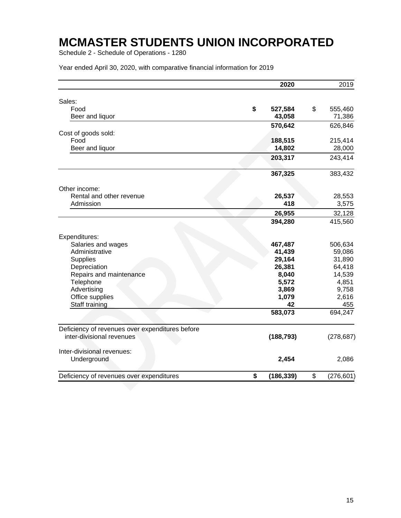Schedule 2 - Schedule of Operations - 1280

|                                                                              | 2020          | 2019          |
|------------------------------------------------------------------------------|---------------|---------------|
| Sales:                                                                       |               |               |
| Food                                                                         | \$<br>527,584 | \$<br>555,460 |
| Beer and liquor                                                              | 43,058        | 71,386        |
|                                                                              |               |               |
|                                                                              | 570,642       | 626,846       |
| Cost of goods sold:                                                          |               |               |
| Food                                                                         | 188,515       | 215,414       |
| Beer and liquor                                                              | 14,802        | 28,000        |
|                                                                              | 203,317       | 243,414       |
|                                                                              | 367,325       | 383,432       |
| Other income:                                                                |               |               |
| Rental and other revenue                                                     | 26,537        | 28,553        |
| Admission                                                                    | 418           | 3,575         |
|                                                                              | 26,955        | 32,128        |
|                                                                              | 394,280       | 415,560       |
| Expenditures:                                                                |               |               |
| Salaries and wages                                                           | 467,487       | 506,634       |
| Administrative                                                               | 41,439        | 59,086        |
| <b>Supplies</b>                                                              | 29,164        | 31,890        |
| Depreciation                                                                 | 26,381        | 64,418        |
| Repairs and maintenance                                                      | 8,040         | 14,539        |
| Telephone                                                                    | 5,572         | 4,851         |
| Advertising                                                                  | 3,869         | 9,758         |
| Office supplies                                                              | 1,079         | 2,616         |
| Staff training                                                               | 42            | 455           |
|                                                                              | 583,073       | 694,247       |
|                                                                              |               |               |
| Deficiency of revenues over expenditures before<br>inter-divisional revenues | (188, 793)    | (278, 687)    |
|                                                                              |               |               |
| Inter-divisional revenues:                                                   |               |               |
| Underground                                                                  | 2,454         | 2,086         |
|                                                                              | \$            | \$            |
| Deficiency of revenues over expenditures                                     | (186, 339)    | (276, 601)    |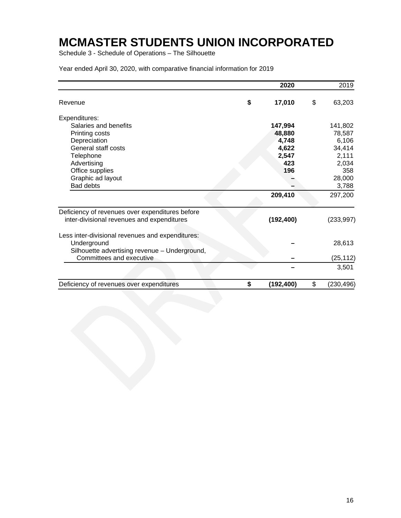Schedule 3 - Schedule of Operations – The Silhouette

|                                                  | 2020             | 2019             |
|--------------------------------------------------|------------------|------------------|
| Revenue                                          | \$<br>17,010     | \$<br>63,203     |
| Expenditures:                                    |                  |                  |
| Salaries and benefits                            | 147,994          | 141,802          |
| Printing costs                                   | 48,880           | 78,587           |
| Depreciation                                     | 4,748            | 6,106            |
| General staff costs                              | 4,622            | 34,414           |
| Telephone                                        | 2,547            | 2,111            |
| Advertising                                      | 423              | 2,034            |
| Office supplies                                  | 196              | 358              |
| Graphic ad layout                                |                  | 28,000           |
| <b>Bad debts</b>                                 |                  | 3,788            |
|                                                  | 209,410          | 297,200          |
| Deficiency of revenues over expenditures before  |                  |                  |
| inter-divisional revenues and expenditures       | (192, 400)       | (233, 997)       |
| Less inter-divisional revenues and expenditures: |                  |                  |
| Underground                                      |                  | 28,613           |
| Silhouette advertising revenue - Underground,    |                  |                  |
| Committees and executive                         |                  | (25, 112)        |
|                                                  |                  | 3,501            |
| Deficiency of revenues over expenditures         | \$<br>(192, 400) | \$<br>(230, 496) |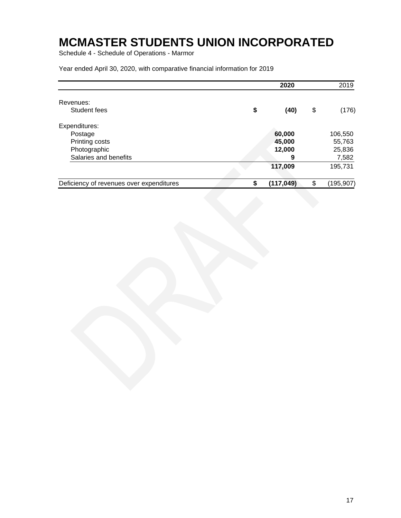Schedule 4 - Schedule of Operations - Marmor

|                                          | 2020             | 2019             |
|------------------------------------------|------------------|------------------|
| Revenues:                                |                  |                  |
| Student fees                             | \$<br>(40)       | \$<br>(176)      |
| Expenditures:                            |                  |                  |
| Postage                                  | 60,000           | 106,550          |
| Printing costs                           | 45,000           | 55,763           |
| Photographic                             | 12,000           | 25,836           |
| Salaries and benefits                    | 9                | 7,582            |
|                                          | 117,009          | 195,731          |
| Deficiency of revenues over expenditures | \$<br>(117, 049) | \$<br>(195, 907) |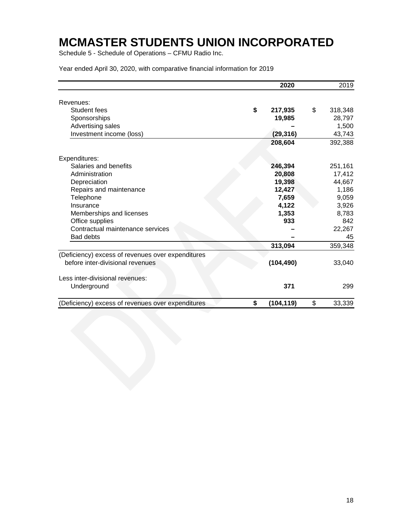Schedule 5 - Schedule of Operations – CFMU Radio Inc.

|                                                   | 2020             | 2019          |
|---------------------------------------------------|------------------|---------------|
| Revenues:                                         |                  |               |
| Student fees                                      | \$<br>217,935    | \$<br>318,348 |
| Sponsorships                                      | 19,985           | 28,797        |
| Advertising sales                                 |                  | 1,500         |
| Investment income (loss)                          | (29, 316)        | 43,743        |
|                                                   | 208,604          | 392,388       |
| Expenditures:                                     |                  |               |
| Salaries and benefits                             | 246,394          | 251,161       |
| Administration                                    | 20,808           | 17,412        |
| Depreciation                                      | 19,398           | 44,667        |
| Repairs and maintenance                           | 12,427           | 1,186         |
| Telephone                                         | 7,659            | 9,059         |
| Insurance                                         | 4,122            | 3,926         |
| Memberships and licenses                          | 1,353            | 8,783         |
| Office supplies                                   | 933              | 842           |
| Contractual maintenance services                  |                  | 22,267        |
| Bad debts                                         |                  | 45            |
|                                                   | 313,094          | 359,348       |
| (Deficiency) excess of revenues over expenditures |                  |               |
| before inter-divisional revenues                  | (104, 490)       | 33,040        |
| Less inter-divisional revenues:                   |                  |               |
| Underground                                       | 371              | 299           |
| (Deficiency) excess of revenues over expenditures | \$<br>(104, 119) | \$<br>33,339  |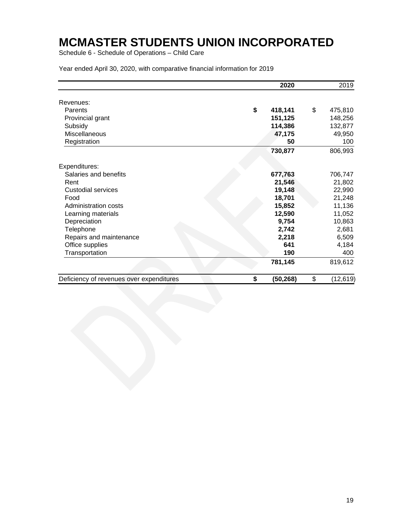Schedule 6 - Schedule of Operations – Child Care

|                                          | 2020            | 2019            |
|------------------------------------------|-----------------|-----------------|
| Revenues:                                |                 |                 |
| Parents                                  | \$<br>418,141   | \$<br>475,810   |
| Provincial grant                         | 151,125         | 148,256         |
| Subsidy                                  | 114,386         | 132,877         |
| Miscellaneous                            | 47,175          | 49,950          |
| Registration                             | 50              | 100             |
|                                          | 730,877         | 806,993         |
| Expenditures:                            |                 |                 |
| Salaries and benefits                    | 677,763         | 706,747         |
| Rent                                     | 21,546          | 21,802          |
| <b>Custodial services</b>                | 19,148          | 22,990          |
| Food                                     | 18,701          | 21,248          |
| Administration costs                     | 15,852          | 11,136          |
| Learning materials                       | 12,590          | 11,052          |
| Depreciation                             | 9,754           | 10,863          |
| Telephone                                | 2,742           | 2,681           |
| Repairs and maintenance                  | 2,218           | 6,509           |
| Office supplies                          | 641             | 4,184           |
| Transportation                           | 190             | 400             |
|                                          | 781,145         | 819,612         |
| Deficiency of revenues over expenditures | \$<br>(50, 268) | \$<br>(12, 619) |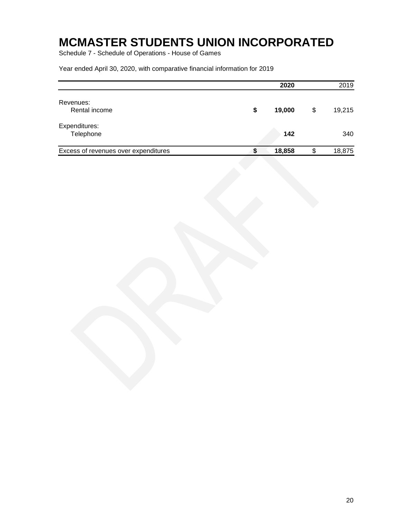Schedule 7 - Schedule of Operations - House of Games

|                                      |    | 2020   | 2019         |
|--------------------------------------|----|--------|--------------|
| Revenues:<br>Rental income           | S  | 19,000 | \$<br>19,215 |
| Expenditures:<br>Telephone           |    | 142    | 340          |
| Excess of revenues over expenditures | \$ | 18,858 | \$<br>18,875 |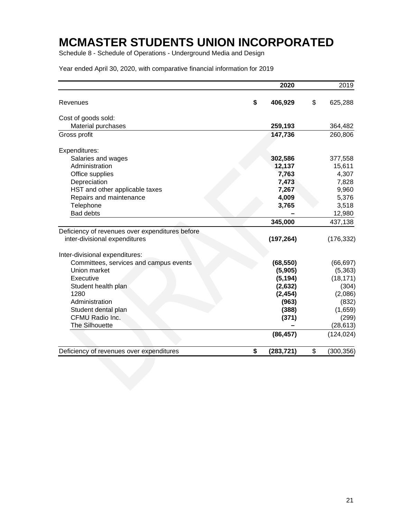Schedule 8 - Schedule of Operations - Underground Media and Design

|                                                 | 2020             | 2019             |
|-------------------------------------------------|------------------|------------------|
| Revenues                                        | \$<br>406,929    | \$<br>625,288    |
| Cost of goods sold:                             |                  |                  |
| Material purchases                              | 259,193          | 364,482          |
| Gross profit                                    | 147,736          | 260,806          |
| Expenditures:                                   |                  |                  |
| Salaries and wages                              | 302,586          | 377,558          |
| Administration                                  | 12,137           | 15,611           |
| Office supplies                                 | 7,763            | 4,307            |
| Depreciation                                    | 7,473            | 7,828            |
| HST and other applicable taxes                  | 7,267            | 9,960            |
| Repairs and maintenance                         | 4,009            | 5,376            |
| Telephone                                       | 3,765            | 3,518            |
| Bad debts                                       |                  | 12,980           |
|                                                 | 345,000          | 437,138          |
| Deficiency of revenues over expenditures before |                  |                  |
| inter-divisional expenditures                   | (197, 264)       | (176, 332)       |
| Inter-divisional expenditures:                  |                  |                  |
| Committees, services and campus events          | (68, 550)        | (66, 697)        |
| Union market                                    | (5,905)          | (5, 363)         |
| Executive                                       | (5, 194)         | (18, 171)        |
| Student health plan                             | (2,632)          | (304)            |
| 1280                                            | (2, 454)         | (2,086)          |
| Administration                                  | (963)            | (832)            |
| Student dental plan                             | (388)            | (1,659)          |
| CFMU Radio Inc.                                 | (371)            | (299)            |
| <b>The Silhouette</b>                           |                  | (28, 613)        |
|                                                 | (86, 457)        | (124, 024)       |
| Deficiency of revenues over expenditures        | \$<br>(283, 721) | \$<br>(300, 356) |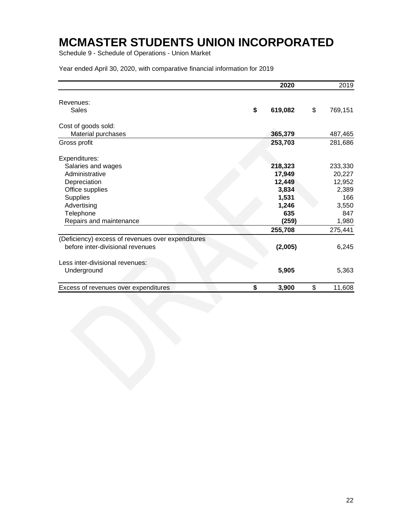Schedule 9 - Schedule of Operations - Union Market

|                                                   | 2020          | 2019          |
|---------------------------------------------------|---------------|---------------|
| Revenues:                                         |               |               |
| Sales                                             | \$<br>619,082 | \$<br>769,151 |
| Cost of goods sold:                               |               |               |
| Material purchases                                | 365,379       | 487,465       |
| Gross profit                                      | 253,703       | 281,686       |
| Expenditures:                                     |               |               |
| Salaries and wages                                | 218,323       | 233,330       |
| Administrative                                    | 17,949        | 20,227        |
| Depreciation                                      | 12,449        | 12,952        |
| Office supplies                                   | 3,834         | 2,389         |
| <b>Supplies</b>                                   | 1,531         | 166           |
| Advertising                                       | 1,246         | 3,550         |
| Telephone                                         | 635           | 847           |
| Repairs and maintenance                           | (259)         | 1,980         |
|                                                   | 255,708       | 275,441       |
| (Deficiency) excess of revenues over expenditures |               |               |
| before inter-divisional revenues                  | (2,005)       | 6,245         |
| Less inter-divisional revenues:                   |               |               |
| Underground                                       | 5,905         | 5,363         |
| Excess of revenues over expenditures              | \$<br>3,900   | \$<br>11,608  |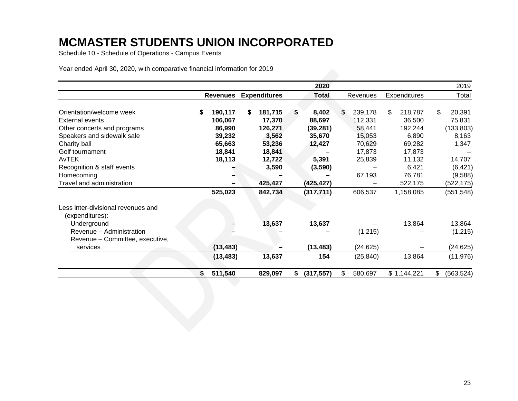Schedule 10 - Schedule of Operations - Campus Events

|                                                       |    |                 |   |                     |    | 2020         |                          |    |             | 2019             |
|-------------------------------------------------------|----|-----------------|---|---------------------|----|--------------|--------------------------|----|-------------|------------------|
|                                                       |    | <b>Revenues</b> |   | <b>Expenditures</b> |    | <b>Total</b> | Expenditures<br>Revenues |    | Total       |                  |
| Orientation/welcome week                              | S  | 190,117         | S | 181,715             | S  | 8,402        | \$<br>239,178            | \$ | 218,787     | \$<br>20,391     |
| <b>External events</b>                                |    | 106,067         |   | 17,370              |    | 88,697       | 112,331                  |    | 36,500      | 75,831           |
| Other concerts and programs                           |    | 86,990          |   | 126,271             |    | (39, 281)    | 58,441                   |    | 192,244     | (133, 803)       |
| Speakers and sidewalk sale                            |    | 39,232          |   | 3,562               |    | 35,670       | 15,053                   |    | 6,890       | 8,163            |
| Charity ball                                          |    | 65,663          |   | 53,236              |    | 12,427       | 70,629                   |    | 69,282      | 1,347            |
| Golf tournament                                       |    | 18,841          |   | 18,841              |    |              | 17,873                   |    | 17,873      |                  |
| AvTEK                                                 |    | 18,113          |   | 12,722              |    | 5,391        | 25,839                   |    | 11,132      | 14,707           |
| Recognition & staff events                            |    |                 |   | 3,590               |    | (3, 590)     |                          |    | 6,421       | (6, 421)         |
| Homecoming                                            |    |                 |   |                     |    |              | 67,193                   |    | 76,781      | (9,588)          |
| Travel and administration                             |    |                 |   | 425,427             |    | (425, 427)   |                          |    | 522,175     | (522, 175)       |
|                                                       |    | 525,023         |   | 842,734             |    | (317, 711)   | 606,537                  |    | 1,158,085   | (551, 548)       |
| Less inter-divisional revenues and<br>(expenditures): |    |                 |   |                     |    |              |                          |    |             |                  |
| Underground                                           |    |                 |   | 13,637              |    | 13,637       |                          |    | 13,864      | 13,864           |
| Revenue - Administration                              |    |                 |   |                     |    |              | (1,215)                  |    |             | (1,215)          |
| Revenue - Committee, executive,                       |    |                 |   |                     |    |              |                          |    |             |                  |
| services                                              |    | (13, 483)       |   |                     |    | (13, 483)    | (24, 625)                |    |             | (24, 625)        |
|                                                       |    | (13, 483)       |   | 13,637              |    | 154          | (25, 840)                |    | 13,864      | (11, 976)        |
|                                                       | S. | 511,540         |   | 829,097             | S. | (317, 557)   | \$<br>580,697            |    | \$1,144,221 | \$<br>(563, 524) |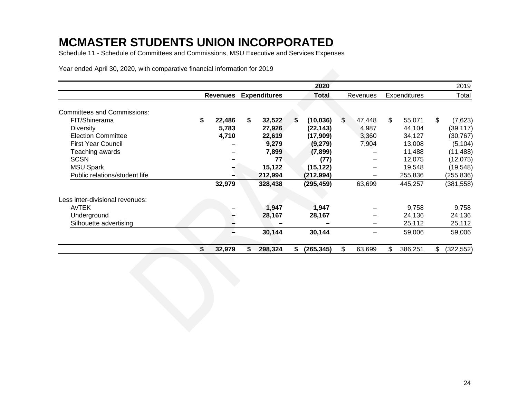Schedule 11 - Schedule of Committees and Commissions, MSU Executive and Services Expenses

|                                    |                 |                     |    | 2020         |              |               | 2019             |
|------------------------------------|-----------------|---------------------|----|--------------|--------------|---------------|------------------|
|                                    | <b>Revenues</b> | <b>Expenditures</b> |    | <b>Total</b> | Revenues     | Expenditures  | Total            |
| <b>Committees and Commissions:</b> |                 |                     |    |              |              |               |                  |
| FIT/Shinerama                      | \$<br>22,486    | \$<br>32,522        | S. | (10, 036)    | \$<br>47,448 | \$<br>55,071  | \$<br>(7,623)    |
| <b>Diversity</b>                   | 5,783           | 27,926              |    | (22, 143)    | 4,987        | 44,104        | (39, 117)        |
| <b>Election Committee</b>          | 4,710           | 22,619              |    | (17,909)     | 3,360        | 34,127        | (30, 767)        |
| <b>First Year Council</b>          |                 | 9,279               |    | (9,279)      | 7,904        | 13,008        | (5, 104)         |
| Teaching awards                    |                 | 7,899               |    | (7,899)      |              | 11,488        | (11, 488)        |
| <b>SCSN</b>                        |                 | 77                  |    | (77)         | —            | 12,075        | (12,075)         |
| <b>MSU Spark</b>                   |                 | 15,122              |    | (15, 122)    |              | 19,548        | (19, 548)        |
| Public relations/student life      |                 | 212,994             |    | (212, 994)   |              | 255,836       | (255, 836)       |
|                                    | 32,979          | 328,438             |    | (295, 459)   | 63,699       | 445,257       | (381, 558)       |
| Less inter-divisional revenues:    |                 |                     |    |              |              |               |                  |
| <b>AvTEK</b>                       |                 | 1,947               |    | 1,947        |              | 9,758         | 9,758            |
| Underground                        |                 | 28,167              |    | 28,167       |              | 24,136        | 24,136           |
| Silhouette advertising             |                 |                     |    |              |              | 25,112        | 25,112           |
|                                    |                 | 30,144              |    | 30,144       |              | 59,006        | 59,006           |
|                                    | \$<br>32,979    | \$<br>298,324       | S. | (265, 345)   | \$<br>63,699 | \$<br>386,251 | \$<br>(322, 552) |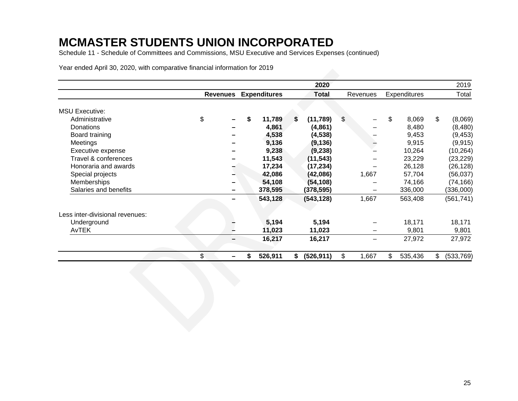Schedule 11 - Schedule of Committees and Commissions, MSU Executive and Services Expenses (continued)

|                                 |                 |                     |    | 2020         |             |               | 2019            |
|---------------------------------|-----------------|---------------------|----|--------------|-------------|---------------|-----------------|
|                                 | <b>Revenues</b> | <b>Expenditures</b> |    | <b>Total</b> | Revenues    | Expenditures  | Total           |
| <b>MSU Executive:</b>           |                 |                     |    |              |             |               |                 |
| Administrative                  | \$              | \$<br>11,789        | S. | (11,789)     | \$          | \$<br>8,069   | \$<br>(8,069)   |
| Donations                       |                 | 4,861               |    | (4,861)      |             | 8,480         | (8,480)         |
| Board training                  |                 | 4,538               |    | (4, 538)     |             | 9,453         | (9, 453)        |
| Meetings                        |                 | 9,136               |    | (9, 136)     |             | 9,915         | (9, 915)        |
| Executive expense               |                 | 9,238               |    | (9, 238)     |             | 10,264        | (10, 264)       |
| Travel & conferences            |                 | 11,543              |    | (11, 543)    |             | 23,229        | (23, 229)       |
| Honoraria and awards            |                 | 17,234              |    | (17, 234)    |             | 26,128        | (26, 128)       |
| Special projects                |                 | 42,086              |    | (42,086)     | 1,667       | 57,704        | (56, 037)       |
| Memberships                     |                 | 54,108              |    | (54, 108)    |             | 74,166        | (74, 166)       |
| Salaries and benefits           |                 | 378,595             |    | (378, 595)   |             | 336,000       | (336,000)       |
|                                 |                 | 543,128             |    | (543, 128)   | 1,667       | 563,408       | (561, 741)      |
| Less inter-divisional revenues: |                 |                     |    |              |             |               |                 |
| Underground                     |                 | 5,194               |    | 5,194        |             | 18,171        | 18,171          |
| AvTEK                           |                 | 11,023              |    | 11,023       | -           | 9,801         | 9,801           |
|                                 |                 | 16,217              |    | 16,217       |             | 27,972        | 27,972          |
|                                 | \$              | 526,911             | S. | (526, 911)   | \$<br>1,667 | \$<br>535,436 | \$<br>(533,769) |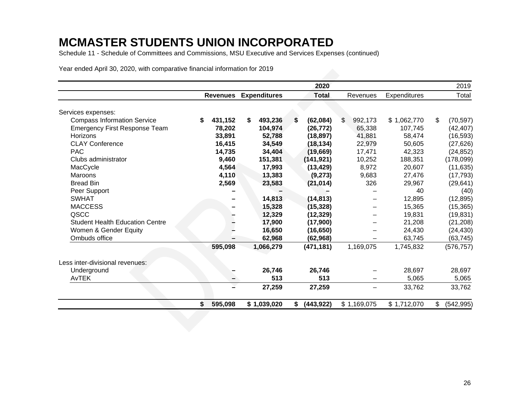Schedule 11 - Schedule of Committees and Commissions, MSU Executive and Services Expenses (continued)

|                                        |    |                 |                     |    | 2020         |               |              | 2019             |
|----------------------------------------|----|-----------------|---------------------|----|--------------|---------------|--------------|------------------|
|                                        |    | <b>Revenues</b> | <b>Expenditures</b> |    | <b>Total</b> | Revenues      | Expenditures | Total            |
| Services expenses:                     |    |                 |                     |    |              |               |              |                  |
| <b>Compass Information Service</b>     | S  | 431,152         | \$<br>493,236       | S  | (62,084)     | \$<br>992,173 | \$1,062,770  | \$<br>(70, 597)  |
| <b>Emergency First Response Team</b>   |    | 78,202          | 104,974             |    | (26, 772)    | 65,338        | 107,745      | (42, 407)        |
| <b>Horizons</b>                        |    | 33,891          | 52,788              |    | (18, 897)    | 41,881        | 58,474       | (16, 593)        |
| <b>CLAY Conference</b>                 |    | 16,415          | 34,549              |    | (18, 134)    | 22,979        | 50,605       | (27, 626)        |
| <b>PAC</b>                             |    | 14,735          | 34,404              |    | (19,669)     | 17,471        | 42,323       | (24, 852)        |
| Clubs administrator                    |    | 9,460           | 151,381             |    | (141, 921)   | 10,252        | 188,351      | (178,099)        |
| MacCycle                               |    | 4,564           | 17,993              |    | (13, 429)    | 8,972         | 20,607       | (11, 635)        |
| Maroons                                |    | 4,110           | 13,383              |    | (9,273)      | 9,683         | 27,476       | (17, 793)        |
| <b>Bread Bin</b>                       |    | 2,569           | 23,583              |    | (21, 014)    | 326           | 29,967       | (29, 641)        |
| Peer Support                           |    |                 |                     |    |              |               | 40           | (40)             |
| <b>SWHAT</b>                           |    |                 | 14,813              |    | (14, 813)    |               | 12,895       | (12, 895)        |
| <b>MACCESS</b>                         |    |                 | 15,328              |    | (15, 328)    |               | 15,365       | (15, 365)        |
| QSCC                                   |    |                 | 12,329              |    | (12, 329)    |               | 19,831       | (19, 831)        |
| <b>Student Health Education Centre</b> |    |                 | 17,900              |    | (17,900)     |               | 21,208       | (21, 208)        |
| Women & Gender Equity                  |    |                 | 16,650              |    | (16, 650)    |               | 24,430       | (24, 430)        |
| Ombuds office                          |    |                 | 62,968              |    | (62, 968)    |               | 63,745       | (63, 745)        |
|                                        |    | 595,098         | 1,066,279           |    | (471, 181)   | 1,169,075     | 1,745,832    | (576, 757)       |
| Less inter-divisional revenues:        |    |                 |                     |    |              |               |              |                  |
| Underground                            |    |                 | 26,746              |    | 26,746       |               | 28,697       | 28,697           |
| AvTEK                                  |    |                 | 513                 |    | 513          |               | 5,065        | 5,065            |
|                                        |    |                 | 27,259              |    | 27,259       |               | 33,762       | 33,762           |
|                                        | \$ | 595,098         | \$1,039,020         | S. | (443, 922)   | \$1,169,075   | \$1,712,070  | \$<br>(542, 995) |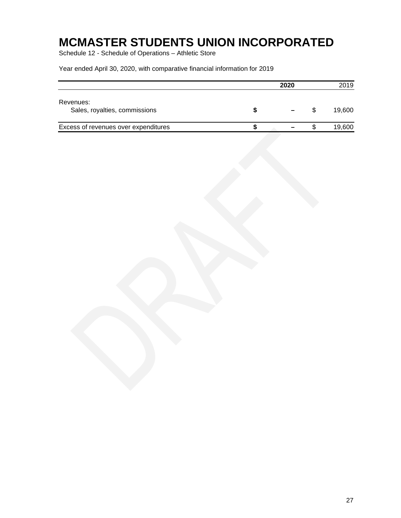Schedule 12 - Schedule of Operations – Athletic Store

|                                            |  | 2020 | 2019   |
|--------------------------------------------|--|------|--------|
| Revenues:<br>Sales, royalties, commissions |  |      | 19.600 |
| Excess of revenues over expenditures       |  |      | 19,600 |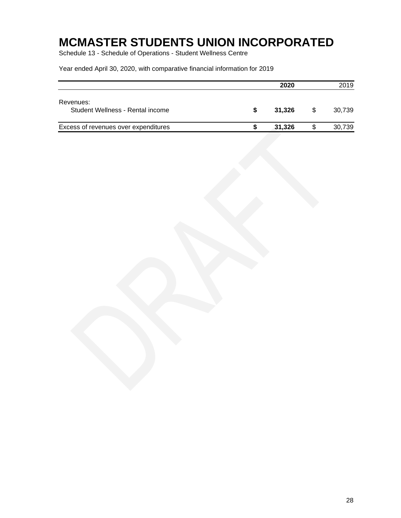Schedule 13 - Schedule of Operations - Student Wellness Centre

|                                               |   | 2020   |   | 2019   |
|-----------------------------------------------|---|--------|---|--------|
| Revenues:<br>Student Wellness - Rental income | S | 31.326 | S | 30.739 |
| Excess of revenues over expenditures          |   | 31.326 |   | 30,739 |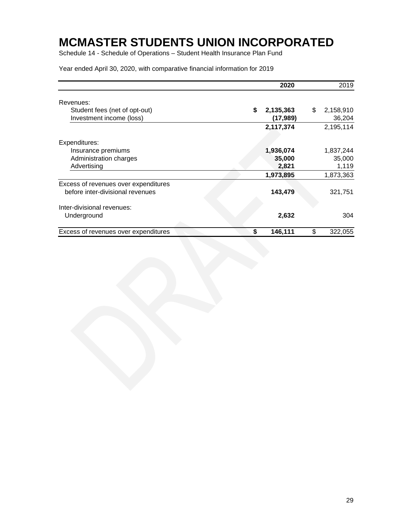Schedule 14 - Schedule of Operations – Student Health Insurance Plan Fund

|                                                           | 2020                         | 2019                      |
|-----------------------------------------------------------|------------------------------|---------------------------|
| Revenues:                                                 |                              |                           |
| Student fees (net of opt-out)<br>Investment income (loss) | \$<br>2,135,363<br>(17, 989) | \$<br>2,158,910<br>36,204 |
|                                                           | 2,117,374                    | 2,195,114                 |
| Expenditures:                                             |                              |                           |
| Insurance premiums                                        | 1,936,074                    | 1,837,244                 |
| Administration charges                                    | 35,000                       | 35,000                    |
| Advertising                                               | 2,821                        | 1,119                     |
|                                                           | 1,973,895                    | 1,873,363                 |
| Excess of revenues over expenditures                      |                              |                           |
| before inter-divisional revenues                          | 143,479                      | 321,751                   |
| Inter-divisional revenues:                                |                              |                           |
| Underground                                               | 2,632                        | 304                       |
| Excess of revenues over expenditures                      | \$<br>146,111                | \$<br>322,055             |